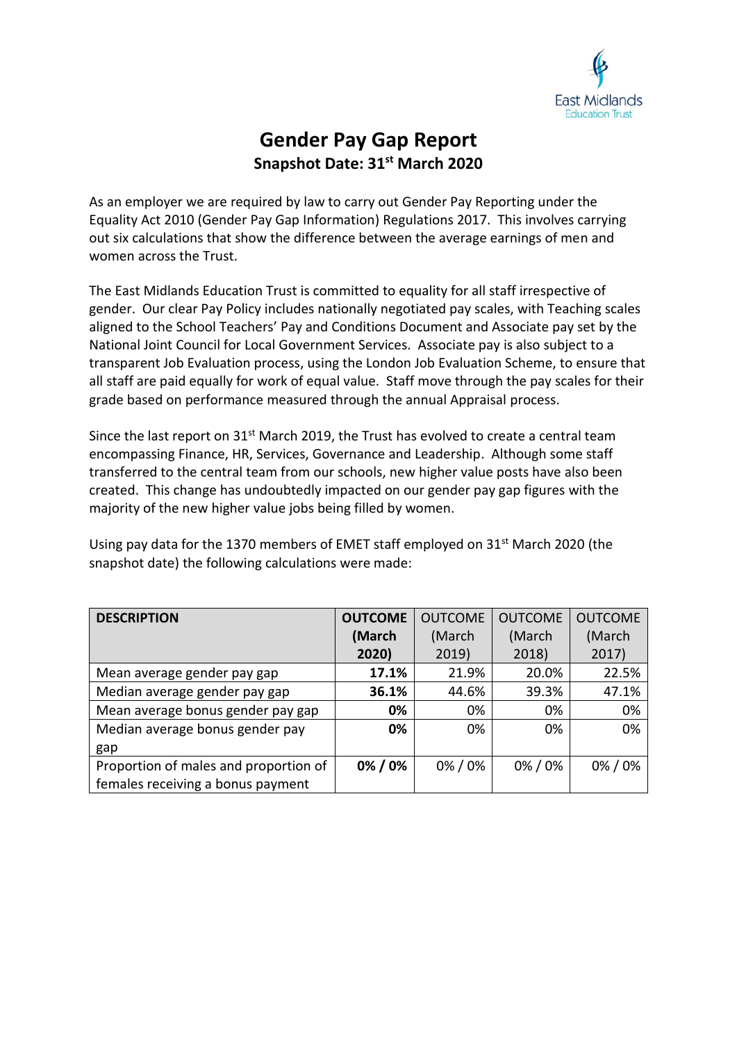

## **Gender Pay Gap Report Snapshot Date: 31st March 2020**

As an employer we are required by law to carry out Gender Pay Reporting under the Equality Act 2010 (Gender Pay Gap Information) Regulations 2017. This involves carrying out six calculations that show the difference between the average earnings of men and women across the Trust.

The East Midlands Education Trust is committed to equality for all staff irrespective of gender. Our clear Pay Policy includes nationally negotiated pay scales, with Teaching scales aligned to the School Teachers' Pay and Conditions Document and Associate pay set by the National Joint Council for Local Government Services. Associate pay is also subject to a transparent Job Evaluation process, using the London Job Evaluation Scheme, to ensure that all staff are paid equally for work of equal value. Staff move through the pay scales for their grade based on performance measured through the annual Appraisal process.

Since the last report on 31<sup>st</sup> March 2019, the Trust has evolved to create a central team encompassing Finance, HR, Services, Governance and Leadership. Although some staff transferred to the central team from our schools, new higher value posts have also been created. This change has undoubtedly impacted on our gender pay gap figures with the majority of the new higher value jobs being filled by women.

Using pay data for the 1370 members of EMET staff employed on  $31<sup>st</sup>$  March 2020 (the snapshot date) the following calculations were made:

| <b>DESCRIPTION</b>                    | <b>OUTCOME</b> | <b>OUTCOME</b> | <b>OUTCOME</b> | <b>OUTCOME</b> |
|---------------------------------------|----------------|----------------|----------------|----------------|
|                                       | (March         | (March         | (March         | (March         |
|                                       | 2020)          | 2019)          | 2018)          | 2017)          |
| Mean average gender pay gap           | 17.1%          | 21.9%          | 20.0%          | 22.5%          |
| Median average gender pay gap         | 36.1%          | 44.6%          | 39.3%          | 47.1%          |
| Mean average bonus gender pay gap     | 0%             | 0%             | 0%             | 0%             |
| Median average bonus gender pay       | 0%             | 0%             | 0%             | 0%             |
| gap                                   |                |                |                |                |
| Proportion of males and proportion of | 0%/0%          | 0%/0%          | 0%/0%          | 0%/0%          |
| females receiving a bonus payment     |                |                |                |                |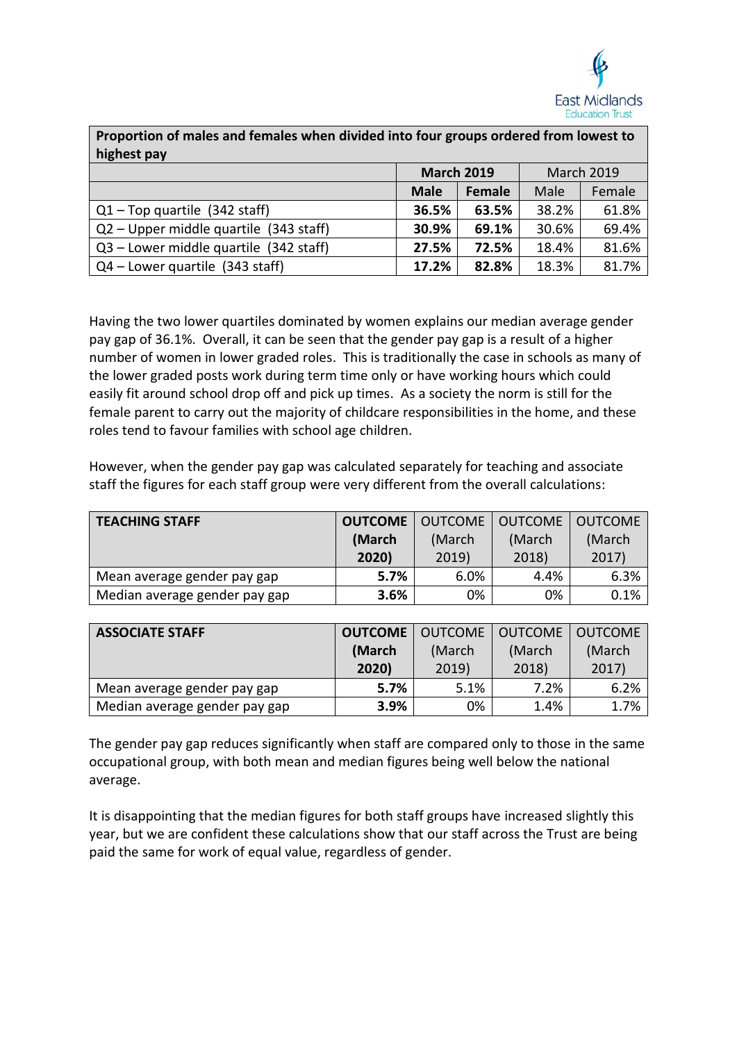

| Proportion of males and females when divided into four groups ordered from lowest to<br>highest pay |                   |               |                   |        |
|-----------------------------------------------------------------------------------------------------|-------------------|---------------|-------------------|--------|
|                                                                                                     | <b>March 2019</b> |               | <b>March 2019</b> |        |
|                                                                                                     | <b>Male</b>       | <b>Female</b> | Male              | Female |
| $Q1 - Top$ quartile (342 staff)                                                                     | 36.5%             | 63.5%         | 38.2%             | 61.8%  |
| $Q2 - Upper$ middle quartile (343 staff)                                                            | 30.9%             | 69.1%         | 30.6%             | 69.4%  |
| Q3 - Lower middle quartile (342 staff)                                                              | 27.5%             | 72.5%         | 18.4%             | 81.6%  |
| $Q4$ – Lower quartile (343 staff)                                                                   | 17.2%             | 82.8%         | 18.3%             | 81.7%  |

Having the two lower quartiles dominated by women explains our median average gender pay gap of 36.1%. Overall, it can be seen that the gender pay gap is a result of a higher number of women in lower graded roles. This is traditionally the case in schools as many of the lower graded posts work during term time only or have working hours which could easily fit around school drop off and pick up times. As a society the norm is still for the female parent to carry out the majority of childcare responsibilities in the home, and these roles tend to favour families with school age children.

However, when the gender pay gap was calculated separately for teaching and associate staff the figures for each staff group were very different from the overall calculations:

| <b>TEACHING STAFF</b>         | <b>OUTCOME</b>   OUTCOME |       | OUTCOME | <b>LOUTCOME</b> |
|-------------------------------|--------------------------|-------|---------|-----------------|
|                               | (March<br>(March         |       | (March  | (March          |
|                               | 2020)                    | 2019) | 2018)   | 2017)           |
| Mean average gender pay gap   | 5.7%                     | 6.0%  | 4.4%    | 6.3%            |
| Median average gender pay gap | 3.6%                     | 0%    | 0%      | 0.1%            |

| <b>ASSOCIATE STAFF</b>        | <b>OUTCOME</b>   OUTCOME |       | <b>OUTCOME</b> | <b>LOUTCOME</b> |
|-------------------------------|--------------------------|-------|----------------|-----------------|
|                               | (March<br>(March         |       | (March         | (March          |
|                               | 2020)                    | 2019) | 2018)          | 2017)           |
| Mean average gender pay gap   | 5.7%                     | 5.1%  | 7.2%           | 6.2%            |
| Median average gender pay gap | 3.9%                     | 0%    | 1.4%           | 1.7%            |

The gender pay gap reduces significantly when staff are compared only to those in the same occupational group, with both mean and median figures being well below the national average.

It is disappointing that the median figures for both staff groups have increased slightly this year, but we are confident these calculations show that our staff across the Trust are being paid the same for work of equal value, regardless of gender.